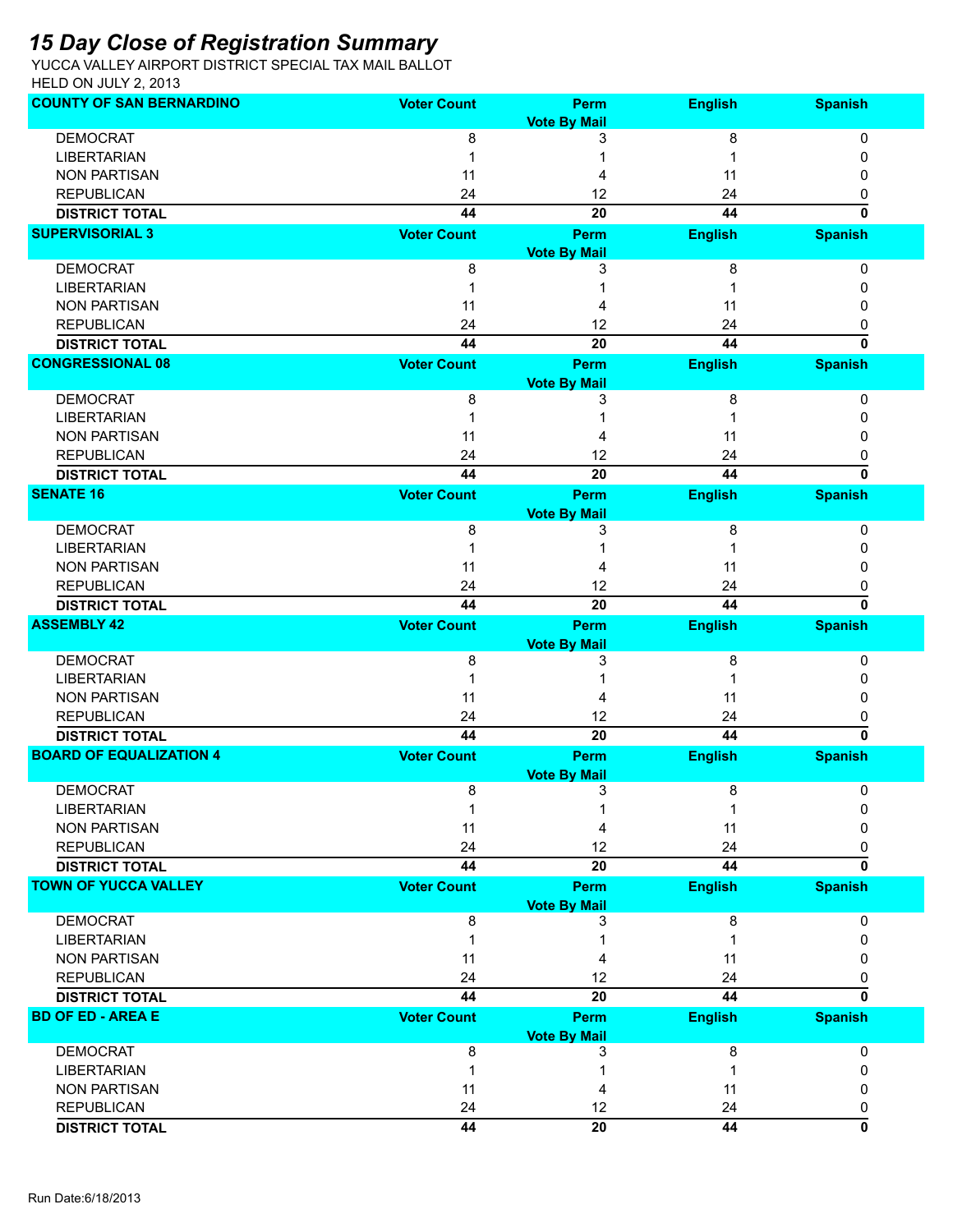## *15 Day Close of Registration Summary*

YUCCA VALLEY AIRPORT DISTRICT SPECIAL TAX MAIL BALLOT HELD ON JULY 2, 2013

| <b>COUNTY OF SAN BERNARDINO</b> | <b>Voter Count</b> | Perm                | <b>English</b> | <b>Spanish</b> |
|---------------------------------|--------------------|---------------------|----------------|----------------|
|                                 |                    | <b>Vote By Mail</b> |                |                |
| <b>DEMOCRAT</b>                 | 8                  | 3                   | 8              | 0              |
| <b>LIBERTARIAN</b>              |                    |                     |                | 0              |
| <b>NON PARTISAN</b>             | 11                 |                     | 11             | 0              |
| <b>REPUBLICAN</b>               | 24                 | 12                  | 24             | 0              |
| <b>DISTRICT TOTAL</b>           | 44                 | 20                  | 44             | O              |
| <b>SUPERVISORIAL 3</b>          | <b>Voter Count</b> | Perm                | <b>English</b> | <b>Spanish</b> |
|                                 |                    | <b>Vote By Mail</b> |                |                |
| <b>DEMOCRAT</b>                 | 8                  | 3                   | 8              | 0              |
| <b>LIBERTARIAN</b>              |                    |                     |                | 0              |
| <b>NON PARTISAN</b>             | 11                 |                     | 11             | 0              |
| <b>REPUBLICAN</b>               | 24                 | 12                  | 24             | 0              |
| <b>DISTRICT TOTAL</b>           | 44                 | 20                  | 44             | $\mathbf{0}$   |
| <b>CONGRESSIONAL 08</b>         | <b>Voter Count</b> | Perm                | <b>English</b> | <b>Spanish</b> |
|                                 |                    | <b>Vote By Mail</b> |                |                |
| <b>DEMOCRAT</b>                 | 8                  | 3                   | 8              | 0              |
| <b>LIBERTARIAN</b>              |                    |                     |                | 0              |
| <b>NON PARTISAN</b>             | 11                 |                     | 11             | 0              |
| <b>REPUBLICAN</b>               | 24                 | 12                  | 24             | 0              |
| <b>DISTRICT TOTAL</b>           | 44                 | 20                  | 44             | $\mathbf{0}$   |
| <b>SENATE 16</b>                | <b>Voter Count</b> | Perm                | <b>English</b> | <b>Spanish</b> |
|                                 |                    | <b>Vote By Mail</b> |                |                |
| <b>DEMOCRAT</b>                 | 8                  | 3                   | 8              | 0              |
| <b>LIBERTARIAN</b>              | 1                  |                     |                | 0              |
| <b>NON PARTISAN</b>             | 11                 |                     | 11             | 0              |
| <b>REPUBLICAN</b>               | 24                 | 12                  | 24             | 0              |
| <b>DISTRICT TOTAL</b>           | 44                 | 20                  | 44             | O              |
| <b>ASSEMBLY 42</b>              | <b>Voter Count</b> | Perm                | <b>English</b> | <b>Spanish</b> |
|                                 |                    |                     |                |                |
|                                 |                    | <b>Vote By Mail</b> |                |                |
| <b>DEMOCRAT</b>                 | 8                  | 3                   | 8              | 0              |
| <b>LIBERTARIAN</b>              |                    |                     |                | 0              |
| <b>NON PARTISAN</b>             | 11                 |                     | 11             | 0              |
| <b>REPUBLICAN</b>               | 24                 | 12                  | 24             | 0              |
| <b>DISTRICT TOTAL</b>           | 44                 | 20                  | 44             | 0              |
| <b>BOARD OF EQUALIZATION 4</b>  | <b>Voter Count</b> | Perm                | <b>English</b> | <b>Spanish</b> |
|                                 |                    | <b>Vote By Mail</b> |                |                |
| <b>DEMOCRAT</b>                 | 8                  | 3                   | 8              | 0              |
| <b>LIBERTARIAN</b>              | 1                  | 1                   | 1              | 0              |
| <b>NON PARTISAN</b>             | 11                 | 4                   | 11             | 0              |
| <b>REPUBLICAN</b>               | 24                 | 12                  | 24             | 0              |
| <b>DISTRICT TOTAL</b>           | 44                 | 20                  | 44             | 0              |
| <b>TOWN OF YUCCA VALLEY</b>     | <b>Voter Count</b> | Perm                | <b>English</b> | <b>Spanish</b> |
|                                 |                    | <b>Vote By Mail</b> |                |                |
| <b>DEMOCRAT</b>                 | 8                  | 3                   | 8              | 0              |
| <b>LIBERTARIAN</b>              | 1                  |                     | 1              | 0              |
| <b>NON PARTISAN</b>             | 11                 | 4                   | 11             | 0              |
| <b>REPUBLICAN</b>               | 24                 | 12                  | 24             | 0              |
| <b>DISTRICT TOTAL</b>           | 44                 | 20                  | 44             | 0              |
| <b>BD OF ED - AREA E</b>        | <b>Voter Count</b> | Perm                | <b>English</b> | <b>Spanish</b> |
|                                 |                    | <b>Vote By Mail</b> |                |                |
| <b>DEMOCRAT</b>                 | 8                  | 3                   | 8              | 0              |
| <b>LIBERTARIAN</b>              | 1                  |                     | 1              | 0              |
| <b>NON PARTISAN</b>             | 11                 | 4                   | 11             | 0              |
| <b>REPUBLICAN</b>               | 24                 | 12                  | 24             | 0              |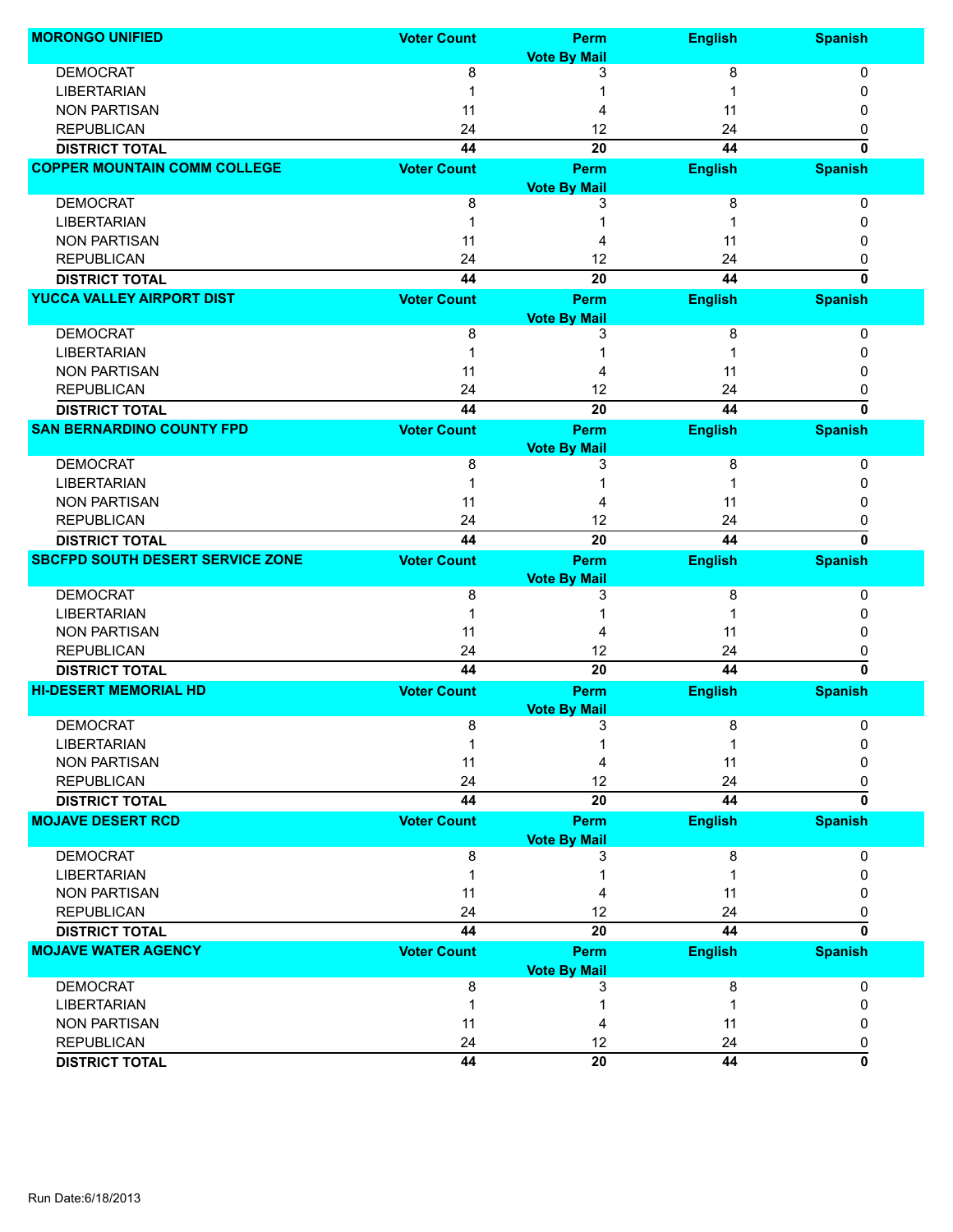| <b>MORONGO UNIFIED</b>                  | <b>Voter Count</b> | Perm                | <b>English</b> | <b>Spanish</b> |
|-----------------------------------------|--------------------|---------------------|----------------|----------------|
|                                         |                    | <b>Vote By Mail</b> |                |                |
| <b>DEMOCRAT</b>                         | 8                  | 3                   | 8              | 0              |
| <b>LIBERTARIAN</b>                      |                    |                     |                | 0              |
| <b>NON PARTISAN</b>                     | 11                 | 4                   | 11             | 0              |
| <b>REPUBLICAN</b>                       | 24                 | 12                  | 24             | 0              |
| <b>DISTRICT TOTAL</b>                   | 44                 | 20                  | 44             | $\bf{0}$       |
| <b>COPPER MOUNTAIN COMM COLLEGE</b>     | <b>Voter Count</b> | Perm                | <b>English</b> | <b>Spanish</b> |
|                                         |                    | <b>Vote By Mail</b> |                |                |
| <b>DEMOCRAT</b>                         | 8                  | 3                   | 8              | 0              |
| <b>LIBERTARIAN</b>                      |                    |                     |                | 0              |
| <b>NON PARTISAN</b>                     | 11                 |                     | 11             | 0              |
| <b>REPUBLICAN</b>                       | 24                 | 12                  | 24             | 0              |
| <b>DISTRICT TOTAL</b>                   | 44                 | 20                  | 44             | $\bf{0}$       |
| <b>YUCCA VALLEY AIRPORT DIST</b>        | <b>Voter Count</b> | Perm                | <b>English</b> | <b>Spanish</b> |
|                                         |                    | <b>Vote By Mail</b> |                |                |
| <b>DEMOCRAT</b>                         | 8                  | 3                   | 8              | 0              |
| <b>LIBERTARIAN</b>                      |                    |                     |                | 0              |
| <b>NON PARTISAN</b>                     | 11                 |                     | 11             | 0              |
| <b>REPUBLICAN</b>                       | 24                 | 12                  | 24             | 0              |
| <b>DISTRICT TOTAL</b>                   | 44                 | 20                  | 44             | $\bf{0}$       |
| <b>SAN BERNARDINO COUNTY FPD</b>        | <b>Voter Count</b> | Perm                | <b>English</b> | <b>Spanish</b> |
|                                         |                    | <b>Vote By Mail</b> |                |                |
| <b>DEMOCRAT</b>                         | 8                  | 3                   | 8              | 0              |
| <b>LIBERTARIAN</b>                      |                    |                     |                | 0              |
| <b>NON PARTISAN</b>                     | 11                 |                     | 11             | 0              |
| <b>REPUBLICAN</b>                       | 24                 | 12                  | 24             | 0              |
| <b>DISTRICT TOTAL</b>                   | 44                 | 20                  | 44             | $\bf{0}$       |
| <b>SBCFPD SOUTH DESERT SERVICE ZONE</b> | <b>Voter Count</b> | Perm                | <b>English</b> | <b>Spanish</b> |
|                                         |                    |                     |                |                |
|                                         |                    | <b>Vote By Mail</b> |                |                |
| <b>DEMOCRAT</b>                         | 8                  | 3                   | 8              | 0              |
| <b>LIBERTARIAN</b>                      |                    |                     |                | 0              |
| <b>NON PARTISAN</b>                     | 11                 |                     | 11             | 0              |
| <b>REPUBLICAN</b>                       | 24                 | 12                  | 24             | 0              |
| <b>DISTRICT TOTAL</b>                   | 44                 | 20                  | 44             | $\bf{0}$       |
| <b>HI-DESERT MEMORIAL HD</b>            | <b>Voter Count</b> | Perm                | <b>English</b> | <b>Spanish</b> |
|                                         |                    | <b>Vote By Mail</b> |                |                |
| <b>DEMOCRAT</b>                         | 8                  | 3                   | 8              | 0              |
| <b>LIBERTARIAN</b>                      | 1                  | 1                   | $\mathbf 1$    | 0              |
| <b>NON PARTISAN</b>                     | 11                 | 4                   | 11             | 0              |
| <b>REPUBLICAN</b>                       | 24                 | 12                  | 24             | 0              |
| <b>DISTRICT TOTAL</b>                   | 44                 | 20                  | 44             | 0              |
| <b>MOJAVE DESERT RCD</b>                | <b>Voter Count</b> | Perm                | <b>English</b> | <b>Spanish</b> |
|                                         |                    | <b>Vote By Mail</b> |                |                |
| <b>DEMOCRAT</b>                         | 8                  | 3                   | 8              | 0              |
| <b>LIBERTARIAN</b>                      | 1                  |                     | 1              | 0              |
| <b>NON PARTISAN</b>                     | 11                 | 4                   | 11             | 0              |
| <b>REPUBLICAN</b>                       | 24                 | 12                  | 24             | 0              |
| <b>DISTRICT TOTAL</b>                   | 44                 | 20                  | 44             | 0              |
| <b>MOJAVE WATER AGENCY</b>              | <b>Voter Count</b> | Perm                | <b>English</b> | <b>Spanish</b> |
|                                         |                    | <b>Vote By Mail</b> |                |                |
| <b>DEMOCRAT</b>                         | 8                  | 3                   | 8              | 0              |
| <b>LIBERTARIAN</b>                      | 1                  |                     | 1              | 0              |
| <b>NON PARTISAN</b>                     | 11                 | 4                   | 11             | 0              |
| <b>REPUBLICAN</b>                       | 24                 | 12                  | 24             | 0              |